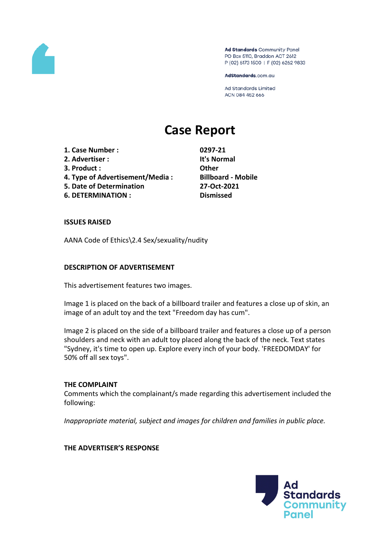

Ad Standards Community Panel PO Box 5110, Braddon ACT 2612 P (02) 6173 1500 | F (02) 6262 9833

AdStandards.com.au

Ad Standards Limited ACN 084 452 666

# **Case Report**

**1. Case Number : 0297-21 2. Advertiser : It's Normal 3. Product : Other 4. Type of Advertisement/Media : Billboard - Mobile**

- **5. Date of Determination 27-Oct-2021**
- **6. DETERMINATION : Dismissed**

## **ISSUES RAISED**

AANA Code of Ethics\2.4 Sex/sexuality/nudity

## **DESCRIPTION OF ADVERTISEMENT**

This advertisement features two images.

Image 1 is placed on the back of a billboard trailer and features a close up of skin, an image of an adult toy and the text "Freedom day has cum".

Image 2 is placed on the side of a billboard trailer and features a close up of a person shoulders and neck with an adult toy placed along the back of the neck. Text states "Sydney, it's time to open up. Explore every inch of your body. 'FREEDOMDAY' for 50% off all sex toys".

#### **THE COMPLAINT**

Comments which the complainant/s made regarding this advertisement included the following:

*Inappropriate material, subject and images for children and families in public place.*

#### **THE ADVERTISER'S RESPONSE**

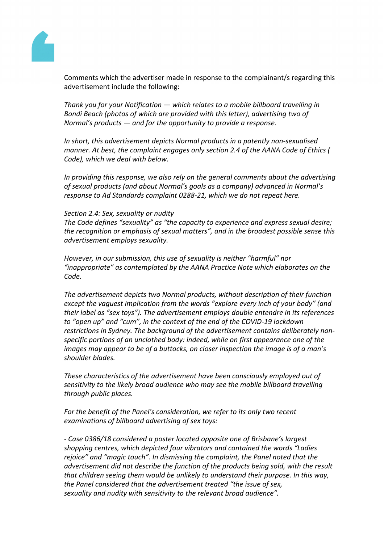

Comments which the advertiser made in response to the complainant/s regarding this advertisement include the following:

*Thank you for your Notification — which relates to a mobile billboard travelling in Bondi Beach (photos of which are provided with this letter), advertising two of Normal's products — and for the opportunity to provide a response.*

*In short, this advertisement depicts Normal products in a patently non-sexualised manner. At best, the complaint engages only section 2.4 of the AANA Code of Ethics ( Code), which we deal with below.*

*In providing this response, we also rely on the general comments about the advertising of sexual products (and about Normal's goals as a company) advanced in Normal's response to Ad Standards complaint 0288-21, which we do not repeat here.*

## *Section 2.4: Sex, sexuality or nudity*

*The Code defines "sexuality" as "the capacity to experience and express sexual desire; the recognition or emphasis of sexual matters", and in the broadest possible sense this advertisement employs sexuality.*

*However, in our submission, this use of sexuality is neither "harmful" nor "inappropriate" as contemplated by the AANA Practice Note which elaborates on the Code.*

*The advertisement depicts two Normal products, without description of their function except the vaguest implication from the words "explore every inch of your body" (and their label as "sex toys"). The advertisement employs double entendre in its references to "open up" and "cum", in the context of the end of the COVID-19 lockdown restrictions in Sydney. The background of the advertisement contains deliberately nonspecific portions of an unclothed body: indeed, while on first appearance one of the images may appear to be of a buttocks, on closer inspection the image is of a man's shoulder blades.*

*These characteristics of the advertisement have been consciously employed out of sensitivity to the likely broad audience who may see the mobile billboard travelling through public places.*

*For the benefit of the Panel's consideration, we refer to its only two recent examinations of billboard advertising of sex toys:*

*- Case 0386/18 considered a poster located opposite one of Brisbane's largest shopping centres, which depicted four vibrators and contained the words "Ladies rejoice" and "magic touch". In dismissing the complaint, the Panel noted that the advertisement did not describe the function of the products being sold, with the result that children seeing them would be unlikely to understand their purpose. In this way, the Panel considered that the advertisement treated "the issue of sex, sexuality and nudity with sensitivity to the relevant broad audience".*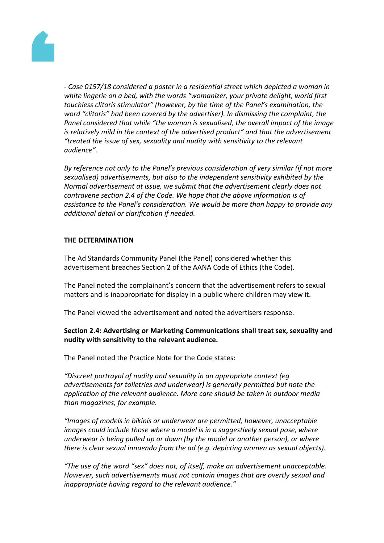

*- Case 0157/18 considered a poster in a residential street which depicted a woman in white lingerie on a bed, with the words "womanizer, your private delight, world first touchless clitoris stimulator" (however, by the time of the Panel's examination, the word "clitoris" had been covered by the advertiser). In dismissing the complaint, the Panel considered that while "the woman is sexualised, the overall impact of the image is relatively mild in the context of the advertised product" and that the advertisement "treated the issue of sex, sexuality and nudity with sensitivity to the relevant audience".*

*By reference not only to the Panel's previous consideration of very similar (if not more sexualised) advertisements, but also to the independent sensitivity exhibited by the Normal advertisement at issue, we submit that the advertisement clearly does not contravene section 2.4 of the Code. We hope that the above information is of assistance to the Panel's consideration. We would be more than happy to provide any additional detail or clarification if needed.*

# **THE DETERMINATION**

The Ad Standards Community Panel (the Panel) considered whether this advertisement breaches Section 2 of the AANA Code of Ethics (the Code).

The Panel noted the complainant's concern that the advertisement refers to sexual matters and is inappropriate for display in a public where children may view it.

The Panel viewed the advertisement and noted the advertisers response.

# **Section 2.4: Advertising or Marketing Communications shall treat sex, sexuality and nudity with sensitivity to the relevant audience.**

The Panel noted the Practice Note for the Code states:

*"Discreet portrayal of nudity and sexuality in an appropriate context (eg advertisements for toiletries and underwear) is generally permitted but note the application of the relevant audience. More care should be taken in outdoor media than magazines, for example.*

*"Images of models in bikinis or underwear are permitted, however, unacceptable images could include those where a model is in a suggestively sexual pose, where underwear is being pulled up or down (by the model or another person), or where there is clear sexual innuendo from the ad (e.g. depicting women as sexual objects).*

*"The use of the word "sex" does not, of itself, make an advertisement unacceptable. However, such advertisements must not contain images that are overtly sexual and inappropriate having regard to the relevant audience."*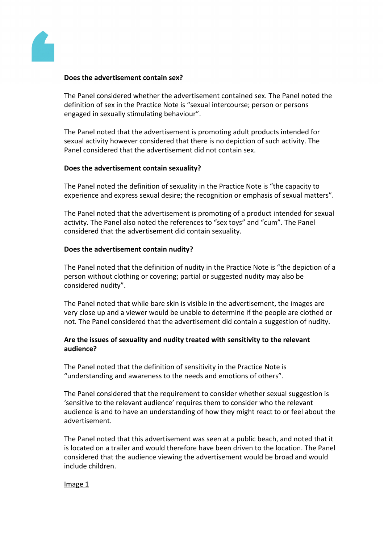

## **Does the advertisement contain sex?**

The Panel considered whether the advertisement contained sex. The Panel noted the definition of sex in the Practice Note is "sexual intercourse; person or persons engaged in sexually stimulating behaviour".

The Panel noted that the advertisement is promoting adult products intended for sexual activity however considered that there is no depiction of such activity. The Panel considered that the advertisement did not contain sex.

## **Does the advertisement contain sexuality?**

The Panel noted the definition of sexuality in the Practice Note is "the capacity to experience and express sexual desire; the recognition or emphasis of sexual matters".

The Panel noted that the advertisement is promoting of a product intended for sexual activity. The Panel also noted the references to "sex toys" and "cum". The Panel considered that the advertisement did contain sexuality.

## **Does the advertisement contain nudity?**

The Panel noted that the definition of nudity in the Practice Note is "the depiction of a person without clothing or covering; partial or suggested nudity may also be considered nudity".

The Panel noted that while bare skin is visible in the advertisement, the images are very close up and a viewer would be unable to determine if the people are clothed or not. The Panel considered that the advertisement did contain a suggestion of nudity.

# **Are the issues of sexuality and nudity treated with sensitivity to the relevant audience?**

The Panel noted that the definition of sensitivity in the Practice Note is "understanding and awareness to the needs and emotions of others".

The Panel considered that the requirement to consider whether sexual suggestion is 'sensitive to the relevant audience' requires them to consider who the relevant audience is and to have an understanding of how they might react to or feel about the advertisement.

The Panel noted that this advertisement was seen at a public beach, and noted that it is located on a trailer and would therefore have been driven to the location. The Panel considered that the audience viewing the advertisement would be broad and would include children.

#### Image 1